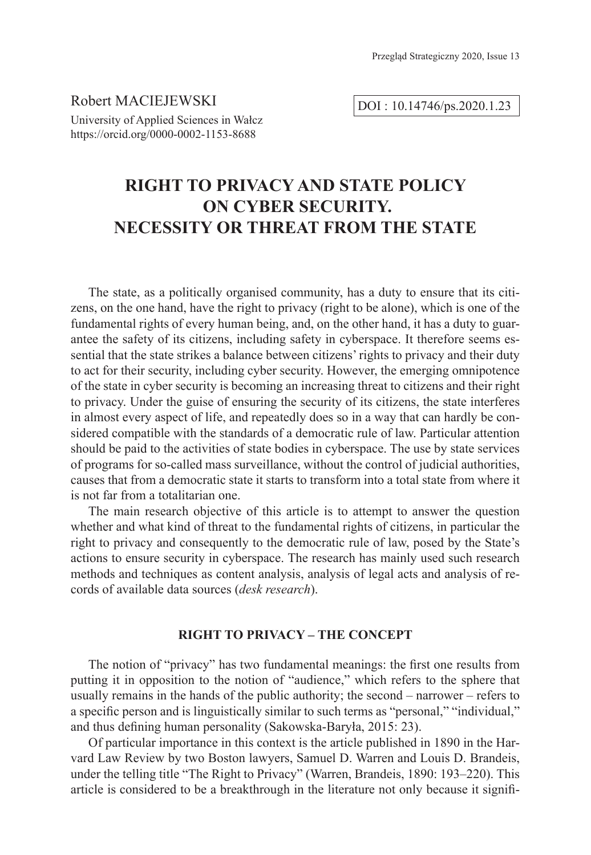Robert MACIEJEWSKI University of Applied Sciences in Wałcz https://orcid.org/0000-0002-1153-8688

DOI : 10.14746/ps.2020.1.23

# **RIGHT TO PRIVACY AND STATE POLICY ON CYBER SECURITY. NECESSITY OR THREAT FROM THE STATE**

The state, as a politically organised community, has a duty to ensure that its citizens, on the one hand, have the right to privacy (right to be alone), which is one of the fundamental rights of every human being, and, on the other hand, it has a duty to guarantee the safety of its citizens, including safety in cyberspace. It therefore seems essential that the state strikes a balance between citizens' rights to privacy and their duty to act for their security, including cyber security. However, the emerging omnipotence of the state in cyber security is becoming an increasing threat to citizens and their right to privacy. Under the guise of ensuring the security of its citizens, the state interferes in almost every aspect of life, and repeatedly does so in a way that can hardly be considered compatible with the standards of a democratic rule of law. Particular attention should be paid to the activities of state bodies in cyberspace. The use by state services of programs for so-called mass surveillance, without the control of judicial authorities, causes that from a democratic state it starts to transform into a total state from where it is not far from a totalitarian one.

The main research objective of this article is to attempt to answer the question whether and what kind of threat to the fundamental rights of citizens, in particular the right to privacy and consequently to the democratic rule of law, posed by the State's actions to ensure security in cyberspace. The research has mainly used such research methods and techniques as content analysis, analysis of legal acts and analysis of records of available data sources (*desk research*).

### **RIGHT TO PRIVACY – THE CONCEPT**

The notion of "privacy" has two fundamental meanings: the first one results from putting it in opposition to the notion of "audience," which refers to the sphere that usually remains in the hands of the public authority; the second – narrower – refers to a specific person and is linguistically similar to such terms as "personal," "individual," and thus defining human personality (Sakowska-Baryła, 2015: 23).

Of particular importance in this context is the article published in 1890 in the Harvard Law Review by two Boston lawyers, Samuel D. Warren and Louis D. Brandeis, under the telling title "The Right to Privacy" (Warren, Brandeis, 1890: 193–220). This article is considered to be a breakthrough in the literature not only because it signifi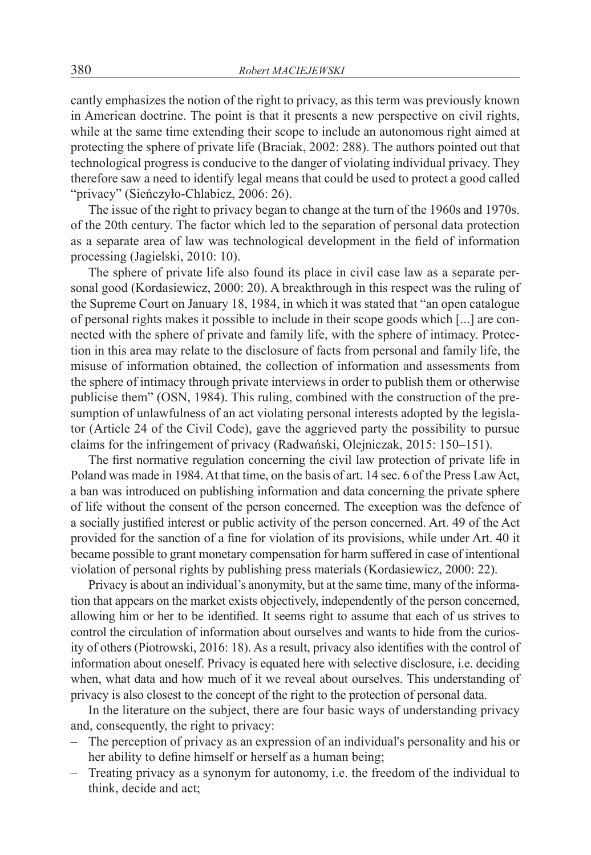cantly emphasizes the notion of the right to privacy, as this term was previously known in American doctrine. The point is that it presents a new perspective on civil rights, while at the same time extending their scope to include an autonomous right aimed at protecting the sphere of private life (Braciak, 2002: 288). The authors pointed out that technological progress is conducive to the danger of violating individual privacy. They therefore saw a need to identify legal means that could be used to protect a good called "privacy" (Sieńczyło-Chlabicz, 2006: 26).

The issue of the right to privacy began to change at the turn of the 1960s and 1970s. of the 20th century. The factor which led to the separation of personal data protection as a separate area of law was technological development in the field of information processing (Jagielski, 2010: 10).

The sphere of private life also found its place in civil case law as a separate personal good (Kordasiewicz, 2000: 20). A breakthrough in this respect was the ruling of the Supreme Court on January 18, 1984, in which it was stated that "an open catalogue of personal rights makes it possible to include in their scope goods which [...] are connected with the sphere of private and family life, with the sphere of intimacy. Protection in this area may relate to the disclosure of facts from personal and family life, the misuse of information obtained, the collection of information and assessments from the sphere of intimacy through private interviews in order to publish them or otherwise publicise them" (OSN, 1984). This ruling, combined with the construction of the presumption of unlawfulness of an act violating personal interests adopted by the legislator (Article 24 of the Civil Code), gave the aggrieved party the possibility to pursue claims for the infringement of privacy (Radwański, Olejniczak, 2015: 150–151).

The first normative regulation concerning the civil law protection of private life in Poland was made in 1984. At that time, on the basis of art. 14 sec. 6 of the Press Law Act, a ban was introduced on publishing information and data concerning the private sphere of life without the consent of the person concerned. The exception was the defence of a socially justified interest or public activity of the person concerned. Art. 49 of the Act provided for the sanction of a fine for violation of its provisions, while under Art. 40 it became possible to grant monetary compensation for harm suffered in case of intentional violation of personal rights by publishing press materials (Kordasiewicz, 2000: 22).

Privacy is about an individual's anonymity, but at the same time, many of the information that appears on the market exists objectively, independently of the person concerned, allowing him or her to be identified. It seems right to assume that each of us strives to control the circulation of information about ourselves and wants to hide from the curiosity of others (Piotrowski, 2016: 18). As a result, privacy also identifies with the control of information about oneself. Privacy is equated here with selective disclosure, i.e. deciding when, what data and how much of it we reveal about ourselves. This understanding of privacy is also closest to the concept of the right to the protection of personal data.

In the literature on the subject, there are four basic ways of understanding privacy and, consequently, the right to privacy:

- The perception of privacy as an expression of an individual's personality and his or her ability to define himself or herself as a human being;
- Treating privacy as a synonym for autonomy, i.e. the freedom of the individual to think, decide and act;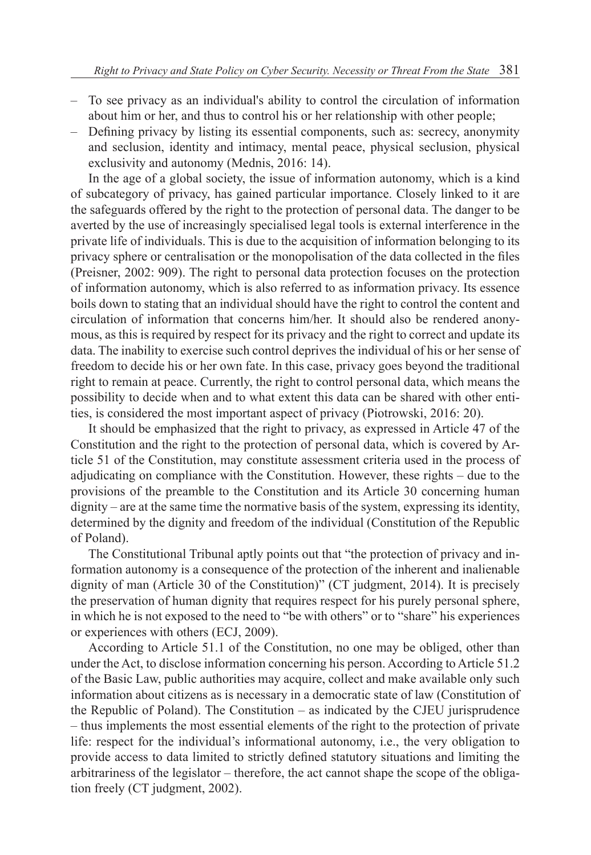- To see privacy as an individual's ability to control the circulation of information about him or her, and thus to control his or her relationship with other people;
- Defining privacy by listing its essential components, such as: secrecy, anonymity and seclusion, identity and intimacy, mental peace, physical seclusion, physical exclusivity and autonomy (Mednis, 2016: 14).

In the age of a global society, the issue of information autonomy, which is a kind of subcategory of privacy, has gained particular importance. Closely linked to it are the safeguards offered by the right to the protection of personal data. The danger to be averted by the use of increasingly specialised legal tools is external interference in the private life of individuals. This is due to the acquisition of information belonging to its privacy sphere or centralisation or the monopolisation of the data collected in the files (Preisner, 2002: 909). The right to personal data protection focuses on the protection of information autonomy, which is also referred to as information privacy. Its essence boils down to stating that an individual should have the right to control the content and circulation of information that concerns him/her. It should also be rendered anonymous, as this is required by respect for its privacy and the right to correct and update its data. The inability to exercise such control deprives the individual of his or her sense of freedom to decide his or her own fate. In this case, privacy goes beyond the traditional right to remain at peace. Currently, the right to control personal data, which means the possibility to decide when and to what extent this data can be shared with other entities, is considered the most important aspect of privacy (Piotrowski, 2016: 20).

It should be emphasized that the right to privacy, as expressed in Article 47 of the Constitution and the right to the protection of personal data, which is covered by Article 51 of the Constitution, may constitute assessment criteria used in the process of adjudicating on compliance with the Constitution. However, these rights – due to the provisions of the preamble to the Constitution and its Article 30 concerning human dignity – are at the same time the normative basis of the system, expressing its identity, determined by the dignity and freedom of the individual (Constitution of the Republic of Poland).

The Constitutional Tribunal aptly points out that "the protection of privacy and information autonomy is a consequence of the protection of the inherent and inalienable dignity of man (Article 30 of the Constitution)" (CT judgment, 2014). It is precisely the preservation of human dignity that requires respect for his purely personal sphere, in which he is not exposed to the need to "be with others" or to "share" his experiences or experiences with others (ECJ, 2009).

According to Article 51.1 of the Constitution, no one may be obliged, other than under the Act, to disclose information concerning his person. According to Article 51.2 of the Basic Law, public authorities may acquire, collect and make available only such information about citizens as is necessary in a democratic state of law (Constitution of the Republic of Poland). The Constitution – as indicated by the CJEU jurisprudence – thus implements the most essential elements of the right to the protection of private life: respect for the individual's informational autonomy, i.e., the very obligation to provide access to data limited to strictly defined statutory situations and limiting the arbitrariness of the legislator – therefore, the act cannot shape the scope of the obligation freely (CT judgment, 2002).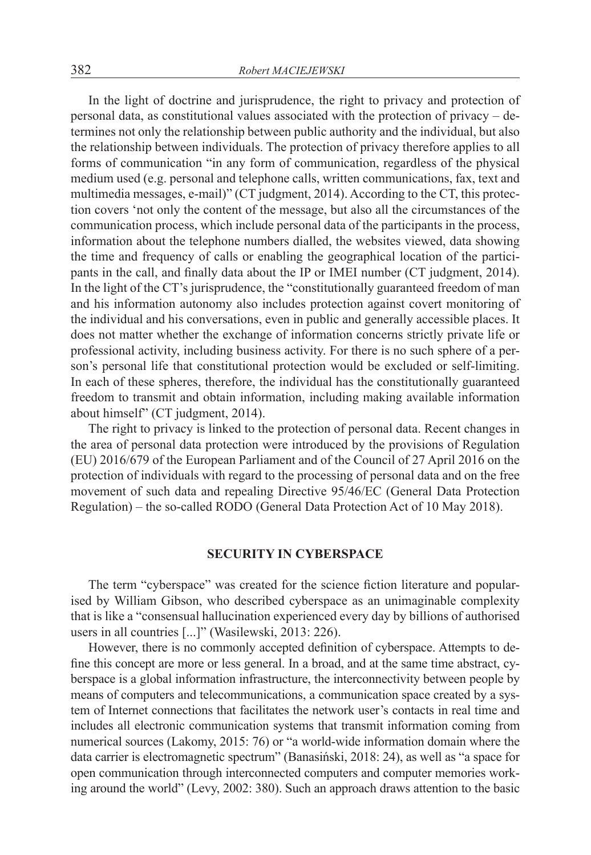In the light of doctrine and jurisprudence, the right to privacy and protection of personal data, as constitutional values associated with the protection of privacy – determines not only the relationship between public authority and the individual, but also the relationship between individuals. The protection of privacy therefore applies to all forms of communication "in any form of communication, regardless of the physical medium used (e.g. personal and telephone calls, written communications, fax, text and multimedia messages, e-mail)" (CT judgment, 2014). According to the CT, this protection covers 'not only the content of the message, but also all the circumstances of the communication process, which include personal data of the participants in the process, information about the telephone numbers dialled, the websites viewed, data showing the time and frequency of calls or enabling the geographical location of the participants in the call, and finally data about the IP or IMEI number (CT judgment, 2014). In the light of the CT's jurisprudence, the "constitutionally guaranteed freedom of man and his information autonomy also includes protection against covert monitoring of the individual and his conversations, even in public and generally accessible places. It does not matter whether the exchange of information concerns strictly private life or professional activity, including business activity. For there is no such sphere of a person's personal life that constitutional protection would be excluded or self-limiting. In each of these spheres, therefore, the individual has the constitutionally guaranteed freedom to transmit and obtain information, including making available information about himself" (CT judgment, 2014).

The right to privacy is linked to the protection of personal data. Recent changes in the area of personal data protection were introduced by the provisions of Regulation (EU) 2016/679 of the European Parliament and of the Council of 27 April 2016 on the protection of individuals with regard to the processing of personal data and on the free movement of such data and repealing Directive 95/46/EC (General Data Protection Regulation) – the so-called RODO (General Data Protection Act of 10 May 2018).

#### **SECURITY IN CYBERSPACE**

The term "cyberspace" was created for the science fiction literature and popularised by William Gibson, who described cyberspace as an unimaginable complexity that is like a "consensual hallucination experienced every day by billions of authorised users in all countries [...]" (Wasilewski, 2013: 226).

However, there is no commonly accepted definition of cyberspace. Attempts to define this concept are more or less general. In a broad, and at the same time abstract, cyberspace is a global information infrastructure, the interconnectivity between people by means of computers and telecommunications, a communication space created by a system of Internet connections that facilitates the network user's contacts in real time and includes all electronic communication systems that transmit information coming from numerical sources (Lakomy, 2015: 76) or "a world-wide information domain where the data carrier is electromagnetic spectrum" (Banasiński, 2018: 24), as well as "a space for open communication through interconnected computers and computer memories working around the world" (Levy, 2002: 380). Such an approach draws attention to the basic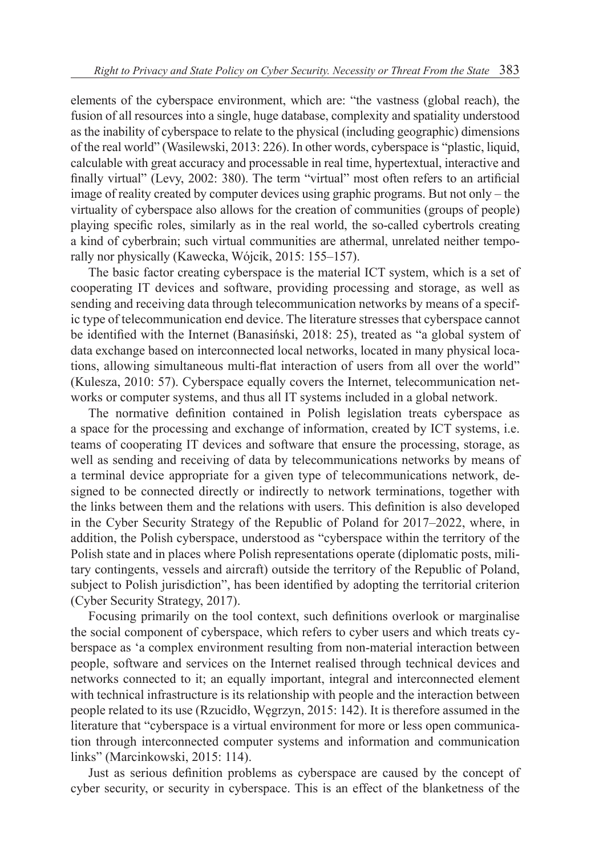elements of the cyberspace environment, which are: "the vastness (global reach), the fusion of all resources into a single, huge database, complexity and spatiality understood as the inability of cyberspace to relate to the physical (including geographic) dimensions of the real world" (Wasilewski, 2013: 226). In other words, cyberspace is "plastic, liquid, calculable with great accuracy and processable in real time, hypertextual, interactive and finally virtual" (Levy, 2002: 380). The term "virtual" most often refers to an artificial image of reality created by computer devices using graphic programs. But not only – the virtuality of cyberspace also allows for the creation of communities (groups of people) playing specific roles, similarly as in the real world, the so-called cybertrols creating a kind of cyberbrain; such virtual communities are athermal, unrelated neither temporally nor physically (Kawecka, Wójcik, 2015: 155–157).

The basic factor creating cyberspace is the material ICT system, which is a set of cooperating IT devices and software, providing processing and storage, as well as sending and receiving data through telecommunication networks by means of a specific type of telecommunication end device. The literature stresses that cyberspace cannot be identified with the Internet (Banasiński, 2018: 25), treated as "a global system of data exchange based on interconnected local networks, located in many physical locations, allowing simultaneous multi-flat interaction of users from all over the world" (Kulesza, 2010: 57). Cyberspace equally covers the Internet, telecommunication networks or computer systems, and thus all IT systems included in a global network.

The normative definition contained in Polish legislation treats cyberspace as a space for the processing and exchange of information, created by ICT systems, i.e. teams of cooperating IT devices and software that ensure the processing, storage, as well as sending and receiving of data by telecommunications networks by means of a terminal device appropriate for a given type of telecommunications network, designed to be connected directly or indirectly to network terminations, together with the links between them and the relations with users. This definition is also developed in the Cyber Security Strategy of the Republic of Poland for 2017–2022, where, in addition, the Polish cyberspace, understood as "cyberspace within the territory of the Polish state and in places where Polish representations operate (diplomatic posts, military contingents, vessels and aircraft) outside the territory of the Republic of Poland, subject to Polish jurisdiction", has been identified by adopting the territorial criterion (Cyber Security Strategy, 2017).

Focusing primarily on the tool context, such definitions overlook or marginalise the social component of cyberspace, which refers to cyber users and which treats cyberspace as 'a complex environment resulting from non-material interaction between people, software and services on the Internet realised through technical devices and networks connected to it; an equally important, integral and interconnected element with technical infrastructure is its relationship with people and the interaction between people related to its use (Rzucidło, Węgrzyn, 2015: 142). It is therefore assumed in the literature that "cyberspace is a virtual environment for more or less open communication through interconnected computer systems and information and communication links" (Marcinkowski, 2015: 114).

Just as serious definition problems as cyberspace are caused by the concept of cyber security, or security in cyberspace. This is an effect of the blanketness of the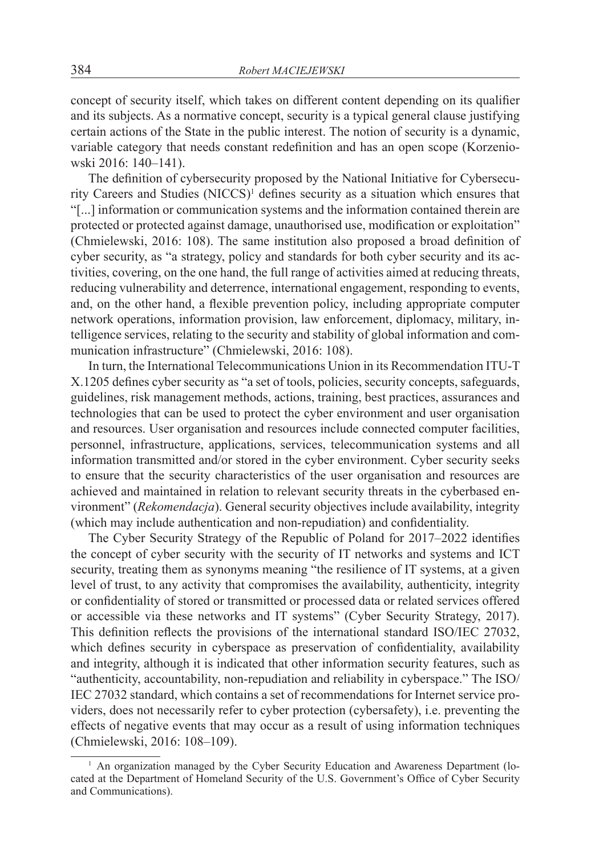concept of security itself, which takes on different content depending on its qualifier and its subjects. As a normative concept, security is a typical general clause justifying certain actions of the State in the public interest. The notion of security is a dynamic, variable category that needs constant redefinition and has an open scope (Korzeniowski 2016: 140–141).

The definition of cybersecurity proposed by the National Initiative for Cybersecurity Careers and Studies (NICCS)<sup>1</sup> defines security as a situation which ensures that "[...] information or communication systems and the information contained therein are protected or protected against damage, unauthorised use, modification or exploitation" (Chmielewski, 2016: 108). The same institution also proposed a broad definition of cyber security, as "a strategy, policy and standards for both cyber security and its activities, covering, on the one hand, the full range of activities aimed at reducing threats, reducing vulnerability and deterrence, international engagement, responding to events, and, on the other hand, a flexible prevention policy, including appropriate computer network operations, information provision, law enforcement, diplomacy, military, intelligence services, relating to the security and stability of global information and communication infrastructure" (Chmielewski, 2016: 108).

In turn, the International Telecommunications Union in its Recommendation ITU-T X.1205 defines cyber security as "a set of tools, policies, security concepts, safeguards, guidelines, risk management methods, actions, training, best practices, assurances and technologies that can be used to protect the cyber environment and user organisation and resources. User organisation and resources include connected computer facilities, personnel, infrastructure, applications, services, telecommunication systems and all information transmitted and/or stored in the cyber environment. Cyber security seeks to ensure that the security characteristics of the user organisation and resources are achieved and maintained in relation to relevant security threats in the cyberbased environment" (*Rekomendacja*). General security objectives include availability, integrity (which may include authentication and non-repudiation) and confidentiality.

The Cyber Security Strategy of the Republic of Poland for 2017–2022 identifies the concept of cyber security with the security of IT networks and systems and ICT security, treating them as synonyms meaning "the resilience of IT systems, at a given level of trust, to any activity that compromises the availability, authenticity, integrity or confidentiality of stored or transmitted or processed data or related services offered or accessible via these networks and IT systems" (Cyber Security Strategy, 2017). This definition reflects the provisions of the international standard ISO/IEC 27032, which defines security in cyberspace as preservation of confidentiality, availability and integrity, although it is indicated that other information security features, such as "authenticity, accountability, non-repudiation and reliability in cyberspace." The ISO/ IEC 27032 standard, which contains a set of recommendations for Internet service providers, does not necessarily refer to cyber protection (cybersafety), i.e. preventing the effects of negative events that may occur as a result of using information techniques (Chmielewski, 2016: 108–109).

<sup>&</sup>lt;sup>1</sup> An organization managed by the Cyber Security Education and Awareness Department (located at the Department of Homeland Security of the U.S. Government's Office of Cyber Security and Communications).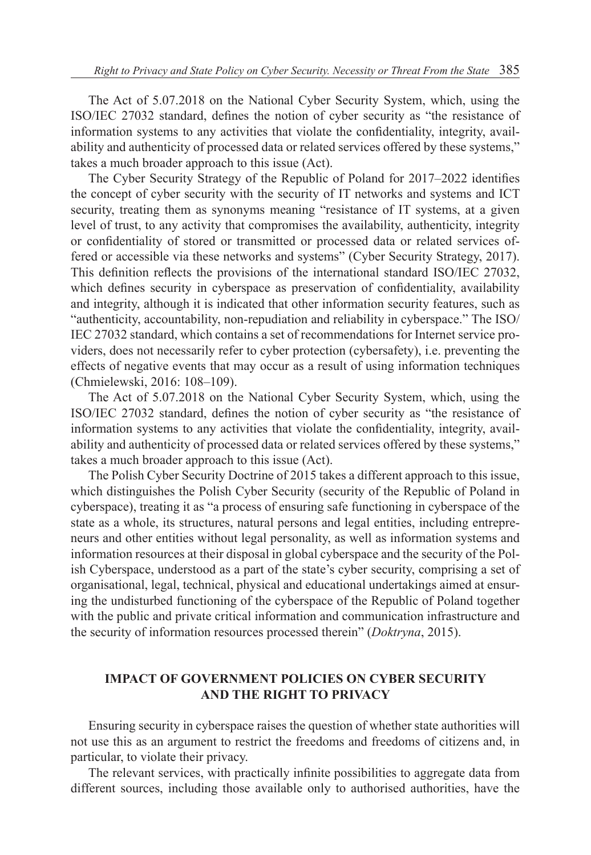The Act of 5.07.2018 on the National Cyber Security System, which, using the ISO/IEC 27032 standard, defines the notion of cyber security as "the resistance of information systems to any activities that violate the confidentiality, integrity, availability and authenticity of processed data or related services offered by these systems," takes a much broader approach to this issue (Act).

The Cyber Security Strategy of the Republic of Poland for 2017–2022 identifies the concept of cyber security with the security of IT networks and systems and ICT security, treating them as synonyms meaning "resistance of IT systems, at a given level of trust, to any activity that compromises the availability, authenticity, integrity or confidentiality of stored or transmitted or processed data or related services offered or accessible via these networks and systems" (Cyber Security Strategy, 2017). This definition reflects the provisions of the international standard ISO/IEC 27032, which defines security in cyberspace as preservation of confidentiality, availability and integrity, although it is indicated that other information security features, such as "authenticity, accountability, non-repudiation and reliability in cyberspace." The ISO/ IEC 27032 standard, which contains a set of recommendations for Internet service providers, does not necessarily refer to cyber protection (cybersafety), i.e. preventing the effects of negative events that may occur as a result of using information techniques (Chmielewski, 2016: 108–109).

The Act of 5.07.2018 on the National Cyber Security System, which, using the ISO/IEC 27032 standard, defines the notion of cyber security as "the resistance of information systems to any activities that violate the confidentiality, integrity, availability and authenticity of processed data or related services offered by these systems," takes a much broader approach to this issue (Act).

The Polish Cyber Security Doctrine of 2015 takes a different approach to this issue, which distinguishes the Polish Cyber Security (security of the Republic of Poland in cyberspace), treating it as "a process of ensuring safe functioning in cyberspace of the state as a whole, its structures, natural persons and legal entities, including entrepreneurs and other entities without legal personality, as well as information systems and information resources at their disposal in global cyberspace and the security of the Polish Cyberspace, understood as a part of the state's cyber security, comprising a set of organisational, legal, technical, physical and educational undertakings aimed at ensuring the undisturbed functioning of the cyberspace of the Republic of Poland together with the public and private critical information and communication infrastructure and the security of information resources processed therein" (*Doktryna*, 2015).

## **IMPACT OF GOVERNMENT POLICIES ON CYBER SECURITY AND THE RIGHT TO PRIVACY**

Ensuring security in cyberspace raises the question of whether state authorities will not use this as an argument to restrict the freedoms and freedoms of citizens and, in particular, to violate their privacy.

The relevant services, with practically infinite possibilities to aggregate data from different sources, including those available only to authorised authorities, have the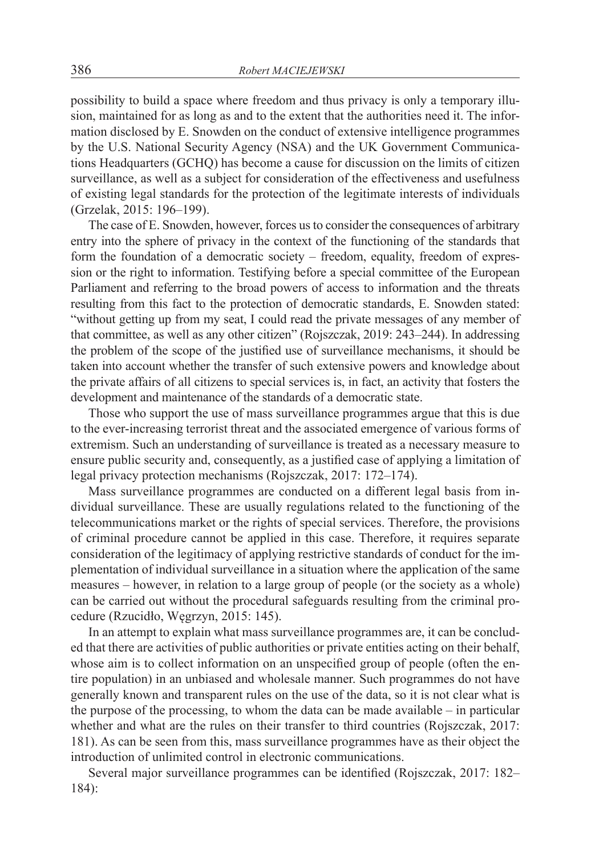possibility to build a space where freedom and thus privacy is only a temporary illusion, maintained for as long as and to the extent that the authorities need it. The information disclosed by E. Snowden on the conduct of extensive intelligence programmes by the U.S. National Security Agency (NSA) and the UK Government Communications Headquarters (GCHQ) has become a cause for discussion on the limits of citizen surveillance, as well as a subject for consideration of the effectiveness and usefulness of existing legal standards for the protection of the legitimate interests of individuals (Grzelak, 2015: 196–199).

The case of E. Snowden, however, forces us to consider the consequences of arbitrary entry into the sphere of privacy in the context of the functioning of the standards that form the foundation of a democratic society – freedom, equality, freedom of expression or the right to information. Testifying before a special committee of the European Parliament and referring to the broad powers of access to information and the threats resulting from this fact to the protection of democratic standards, E. Snowden stated: "without getting up from my seat, I could read the private messages of any member of that committee, as well as any other citizen" (Rojszczak, 2019: 243–244). In addressing the problem of the scope of the justified use of surveillance mechanisms, it should be taken into account whether the transfer of such extensive powers and knowledge about the private affairs of all citizens to special services is, in fact, an activity that fosters the development and maintenance of the standards of a democratic state.

Those who support the use of mass surveillance programmes argue that this is due to the ever-increasing terrorist threat and the associated emergence of various forms of extremism. Such an understanding of surveillance is treated as a necessary measure to ensure public security and, consequently, as a justified case of applying a limitation of legal privacy protection mechanisms (Rojszczak, 2017: 172–174).

Mass surveillance programmes are conducted on a different legal basis from individual surveillance. These are usually regulations related to the functioning of the telecommunications market or the rights of special services. Therefore, the provisions of criminal procedure cannot be applied in this case. Therefore, it requires separate consideration of the legitimacy of applying restrictive standards of conduct for the implementation of individual surveillance in a situation where the application of the same measures – however, in relation to a large group of people (or the society as a whole) can be carried out without the procedural safeguards resulting from the criminal procedure (Rzucidło, Węgrzyn, 2015: 145).

In an attempt to explain what mass surveillance programmes are, it can be concluded that there are activities of public authorities or private entities acting on their behalf, whose aim is to collect information on an unspecified group of people (often the entire population) in an unbiased and wholesale manner. Such programmes do not have generally known and transparent rules on the use of the data, so it is not clear what is the purpose of the processing, to whom the data can be made available – in particular whether and what are the rules on their transfer to third countries (Rojszczak, 2017: 181). As can be seen from this, mass surveillance programmes have as their object the introduction of unlimited control in electronic communications.

Several major surveillance programmes can be identified (Rojszczak, 2017: 182– 184):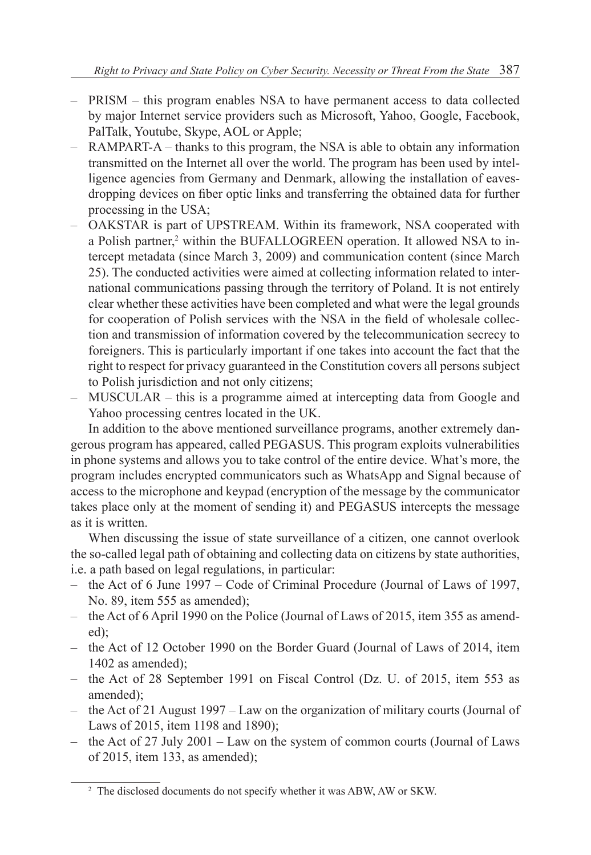- PRISM this program enables NSA to have permanent access to data collected by major Internet service providers such as Microsoft, Yahoo, Google, Facebook, PalTalk, Youtube, Skype, AOL or Apple;
- RAMPART-A thanks to this program, the NSA is able to obtain any information transmitted on the Internet all over the world. The program has been used by intelligence agencies from Germany and Denmark, allowing the installation of eavesdropping devices on fiber optic links and transferring the obtained data for further processing in the USA;
- OAKSTAR is part of UPSTREAM. Within its framework, NSA cooperated with a Polish partner,<sup>2</sup> within the BUFALLOGREEN operation. It allowed NSA to intercept metadata (since March 3, 2009) and communication content (since March 25). The conducted activities were aimed at collecting information related to international communications passing through the territory of Poland. It is not entirely clear whether these activities have been completed and what were the legal grounds for cooperation of Polish services with the NSA in the field of wholesale collection and transmission of information covered by the telecommunication secrecy to foreigners. This is particularly important if one takes into account the fact that the right to respect for privacy guaranteed in the Constitution covers all persons subject to Polish jurisdiction and not only citizens;
- MUSCULAR this is a programme aimed at intercepting data from Google and Yahoo processing centres located in the UK.

In addition to the above mentioned surveillance programs, another extremely dangerous program has appeared, called PEGASUS. This program exploits vulnerabilities in phone systems and allows you to take control of the entire device. What's more, the program includes encrypted communicators such as WhatsApp and Signal because of access to the microphone and keypad (encryption of the message by the communicator takes place only at the moment of sending it) and PEGASUS intercepts the message as it is written.

When discussing the issue of state surveillance of a citizen, one cannot overlook the so-called legal path of obtaining and collecting data on citizens by state authorities, i.e. a path based on legal regulations, in particular:

- the Act of 6 June 1997 Code of Criminal Procedure (Journal of Laws of 1997, No. 89, item 555 as amended);
- the Act of 6 April 1990 on the Police (Journal of Laws of 2015, item 355 as amended);
- the Act of 12 October 1990 on the Border Guard (Journal of Laws of 2014, item 1402 as amended);
- the Act of 28 September 1991 on Fiscal Control (Dz. U. of 2015, item 553 as amended);
- the Act of 21 August 1997 Law on the organization of military courts (Journal of Laws of 2015, item 1198 and 1890);
- the Act of 27 July 2001 Law on the system of common courts (Journal of Laws of 2015, item 133, as amended);

<sup>2</sup> The disclosed documents do not specify whether it was ABW, AW or SKW.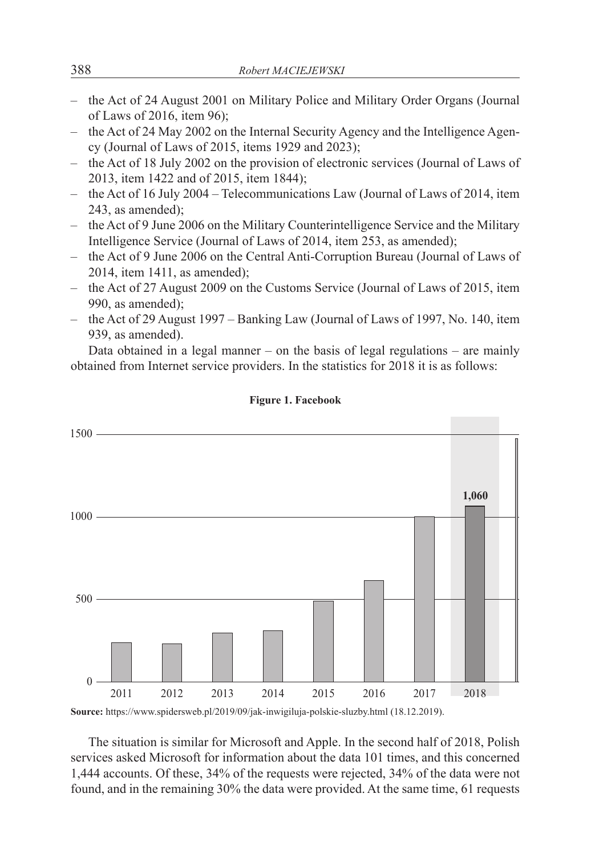- the Act of 24 August 2001 on Military Police and Military Order Organs (Journal of Laws of 2016, item 96);
- the Act of 24 May 2002 on the Internal Security Agency and the Intelligence Agency (Journal of Laws of 2015, items 1929 and 2023);
- the Act of 18 July 2002 on the provision of electronic services (Journal of Laws of 2013, item 1422 and of 2015, item 1844);
- the Act of 16 July 2004 Telecommunications Law (Journal of Laws of 2014, item 243, as amended);
- the Act of 9 June 2006 on the Military Counterintelligence Service and the Military Intelligence Service (Journal of Laws of 2014, item 253, as amended);
- the Act of 9 June 2006 on the Central Anti-Corruption Bureau (Journal of Laws of 2014, item 1411, as amended);
- the Act of 27 August 2009 on the Customs Service (Journal of Laws of 2015, item 990, as amended);
- the Act of 29 August 1997 Banking Law (Journal of Laws of 1997, No. 140, item 939, as amended).

Data obtained in a legal manner – on the basis of legal regulations – are mainly obtained from Internet service providers. In the statistics for 2018 it is as follows:



**Figure 1. Facebook**

**Source:** https://www.spidersweb.pl/2019/09/jak-inwigiluja-polskie-sluzby.html (18.12.2019).

The situation is similar for Microsoft and Apple. In the second half of 2018, Polish services asked Microsoft for information about the data 101 times, and this concerned 1,444 accounts. Of these, 34% of the requests were rejected, 34% of the data were not found, and in the remaining 30% the data were provided. At the same time, 61 requests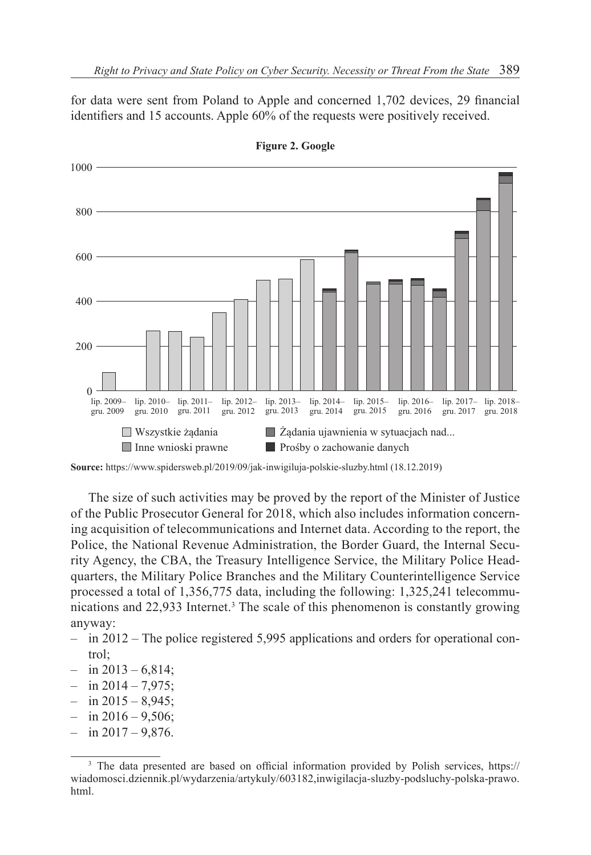for data were sent from Poland to Apple and concerned 1,702 devices, 29 financial identifiers and 15 accounts. Apple 60% of the requests were positively received.



**Figure 2. Google**

The size of such activities may be proved by the report of the Minister of Justice of the Public Prosecutor General for 2018, which also includes information concerning acquisition of telecommunications and Internet data. According to the report, the Police, the National Revenue Administration, the Border Guard, the Internal Security Agency, the CBA, the Treasury Intelligence Service, the Military Police Headquarters, the Military Police Branches and the Military Counterintelligence Service processed a total of 1,356,775 data, including the following: 1,325,241 telecommunications and 22,933 Internet.<sup>3</sup> The scale of this phenomenon is constantly growing anyway:

- in 2012 The police registered 5,995 applications and orders for operational control;
- $-$  in 2013 6,814;
- $-$  in  $2014 7.975$ ;
- $-$  in 2015 8,945;
- $-$  in 2016 9,506;
- $-$  in  $2017 9,876$ .

**Source:** https://www.spidersweb.pl/2019/09/jak-inwigiluja-polskie-sluzby.html (18.12.2019)

<sup>&</sup>lt;sup>3</sup> The data presented are based on official information provided by Polish services, https:// wiadomosci.dziennik.pl/wydarzenia/artykuly/603182,inwigilacja-sluzby-podsluchy-polska-prawo. html.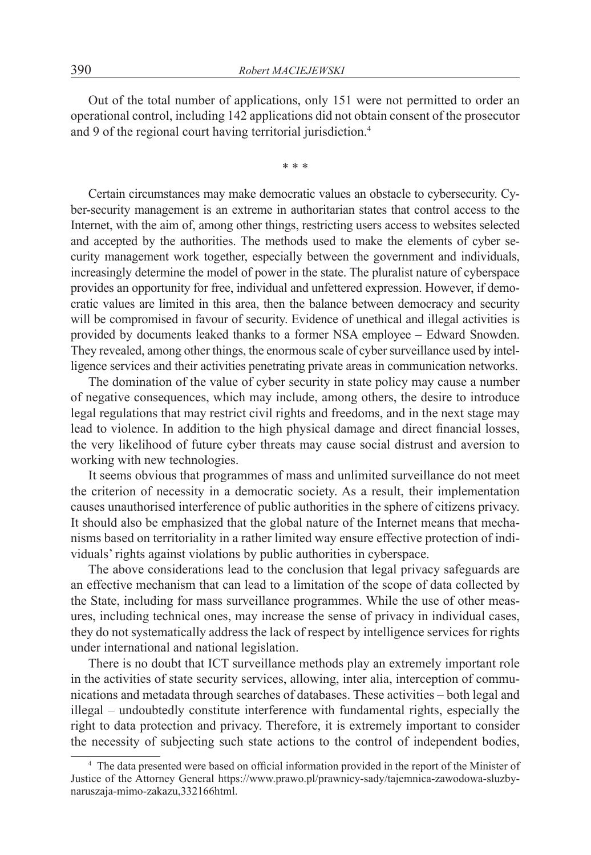Out of the total number of applications, only 151 were not permitted to order an operational control, including 142 applications did not obtain consent of the prosecutor and 9 of the regional court having territorial jurisdiction.<sup>4</sup>

\* \* \*

Certain circumstances may make democratic values an obstacle to cybersecurity. Cyber-security management is an extreme in authoritarian states that control access to the Internet, with the aim of, among other things, restricting users access to websites selected and accepted by the authorities. The methods used to make the elements of cyber security management work together, especially between the government and individuals, increasingly determine the model of power in the state. The pluralist nature of cyberspace provides an opportunity for free, individual and unfettered expression. However, if democratic values are limited in this area, then the balance between democracy and security will be compromised in favour of security. Evidence of unethical and illegal activities is provided by documents leaked thanks to a former NSA employee – Edward Snowden. They revealed, among other things, the enormous scale of cyber surveillance used by intelligence services and their activities penetrating private areas in communication networks.

The domination of the value of cyber security in state policy may cause a number of negative consequences, which may include, among others, the desire to introduce legal regulations that may restrict civil rights and freedoms, and in the next stage may lead to violence. In addition to the high physical damage and direct financial losses, the very likelihood of future cyber threats may cause social distrust and aversion to working with new technologies.

It seems obvious that programmes of mass and unlimited surveillance do not meet the criterion of necessity in a democratic society. As a result, their implementation causes unauthorised interference of public authorities in the sphere of citizens privacy. It should also be emphasized that the global nature of the Internet means that mechanisms based on territoriality in a rather limited way ensure effective protection of individuals' rights against violations by public authorities in cyberspace.

The above considerations lead to the conclusion that legal privacy safeguards are an effective mechanism that can lead to a limitation of the scope of data collected by the State, including for mass surveillance programmes. While the use of other measures, including technical ones, may increase the sense of privacy in individual cases, they do not systematically address the lack of respect by intelligence services for rights under international and national legislation.

There is no doubt that ICT surveillance methods play an extremely important role in the activities of state security services, allowing, inter alia, interception of communications and metadata through searches of databases. These activities – both legal and illegal – undoubtedly constitute interference with fundamental rights, especially the right to data protection and privacy. Therefore, it is extremely important to consider the necessity of subjecting such state actions to the control of independent bodies,

<sup>4</sup> The data presented were based on official information provided in the report of the Minister of Justice of the Attorney General https://www.prawo.pl/prawnicy-sady/tajemnica-zawodowa-sluzbynaruszaja-mimo-zakazu,332166html.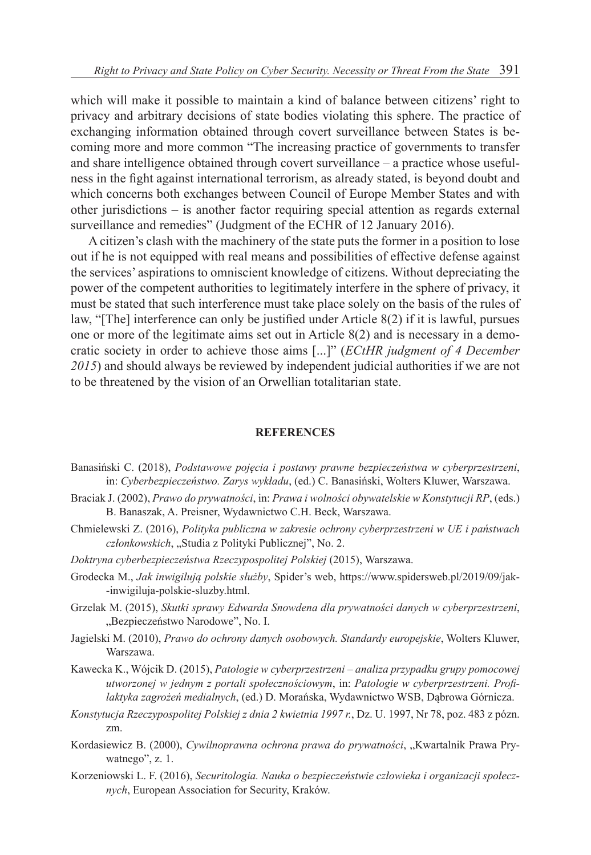which will make it possible to maintain a kind of balance between citizens' right to privacy and arbitrary decisions of state bodies violating this sphere. The practice of exchanging information obtained through covert surveillance between States is becoming more and more common "The increasing practice of governments to transfer and share intelligence obtained through covert surveillance – a practice whose usefulness in the fight against international terrorism, as already stated, is beyond doubt and which concerns both exchanges between Council of Europe Member States and with other jurisdictions – is another factor requiring special attention as regards external surveillance and remedies" (Judgment of the ECHR of 12 January 2016).

A citizen's clash with the machinery of the state puts the former in a position to lose out if he is not equipped with real means and possibilities of effective defense against the services' aspirations to omniscient knowledge of citizens. Without depreciating the power of the competent authorities to legitimately interfere in the sphere of privacy, it must be stated that such interference must take place solely on the basis of the rules of law, "[The] interference can only be justified under Article 8(2) if it is lawful, pursues one or more of the legitimate aims set out in Article 8(2) and is necessary in a democratic society in order to achieve those aims [...]" (*ECtHR judgment of 4 December 2015*) and should always be reviewed by independent judicial authorities if we are not to be threatened by the vision of an Orwellian totalitarian state.

#### **REFERENCES**

- Banasiński C. (2018), *Podstawowe pojęcia i postawy prawne bezpieczeństwa w cyberprzestrzeni*, in: *Cyberbezpieczeństwo. Zarys wykładu*, (ed.) C. Banasiński, Wolters Kluwer, Warszawa.
- Braciak J. (2002), *Prawo do prywatności*, in: *Prawa i wolności obywatelskie w Konstytucji RP*, (eds.) B. Banaszak, A. Preisner, Wydawnictwo C.H. Beck, Warszawa.
- Chmielewski Z. (2016), *Polityka publiczna w zakresie ochrony cyberprzestrzeni w UE i państwach*  członkowskich, "Studia z Polityki Publicznej", No. 2.
- *Doktryna cyberbezpieczeństwa Rzeczypospolitej Polskiej* (2015), Warszawa.
- Grodecka M., *Jak inwigilują polskie służby*, Spider's web, https://www.spidersweb.pl/2019/09/jak- -inwigiluja-polskie-sluzby.html.
- Grzelak M. (2015), *Skutki sprawy Edwarda Snowdena dla prywatności danych w cyberprzestrzeni*, "Bezpieczeństwo Narodowe", No. I.
- Jagielski M. (2010), *Prawo do ochrony danych osobowych. Standardy europejskie*, Wolters Kluwer, Warszawa.
- Kawecka K., Wójcik D. (2015), *Patologie w cyberprzestrzeni analiza przypadku grupy pomocowej utworzonej w jednym z portali społecznościowym*, in: *Patologie w cyberprzestrzeni. Profilaktyka zagrożeń medialnych*, (ed.) D. Morańska, Wydawnictwo WSB, Dąbrowa Górnicza.
- *Konstytucja Rzeczypospolitej Polskiej z dnia 2 kwietnia 1997 r.*, Dz. U. 1997, Nr 78, poz. 483 z pózn. zm.
- Kordasiewicz B. (2000), *Cywilnoprawna ochrona prawa do prywatności*, "Kwartalnik Prawa Prywatnego", z. 1.
- Korzeniowski L. F. (2016), *Securitologia. Nauka o bezpieczeństwie człowieka i organizacji społecznych*, European Association for Security, Kraków.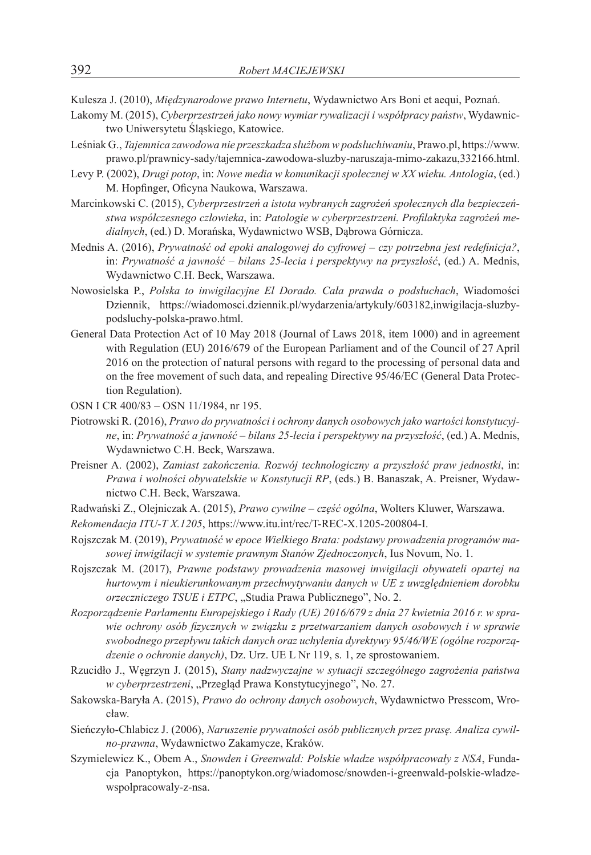Kulesza J. (2010), *Międzynarodowe prawo Internetu*, Wydawnictwo Ars Boni et aequi, Poznań.

- Lakomy M. (2015), *Cyberprzestrzeń jako nowy wymiar rywalizacji i współpracy państw*, Wydawnictwo Uniwersytetu Śląskiego, Katowice.
- Leśniak G., *Tajemnica zawodowa nie przeszkadza służbom w podsłuchiwaniu*, Prawo.pl, https://www. prawo.pl/prawnicy-sady/tajemnica-zawodowa-sluzby-naruszaja-mimo-zakazu,332166.html.
- Levy P. (2002), *Drugi potop*, in: *Nowe media w komunikacji społecznej w XX wieku. Antologia*, (ed.) M. Hopfinger, Oficyna Naukowa, Warszawa.
- Marcinkowski C. (2015), *Cyberprzestrzeń a istota wybranych zagrożeń społecznych dla bezpieczeństwa współczesnego człowieka*, in: *Patologie w cyberprzestrzeni. Profilaktyka zagrożeń medialnych*, (ed.) D. Morańska, Wydawnictwo WSB, Dąbrowa Górnicza.
- Mednis A. (2016), *Prywatność od epoki analogowej do cyfrowej czy potrzebna jest redefinicja?*, in: *Prywatność a jawność – bilans 25-lecia i perspektywy na przyszłość*, (ed.) A. Mednis, Wydawnictwo C.H. Beck, Warszawa.
- Nowosielska P., *Polska to inwigilacyjne El Dorado. Cała prawda o podsłuchach*, Wiadomości Dziennik, https://wiadomosci.dziennik.pl/wydarzenia/artykuly/603182,inwigilacja-sluzbypodsluchy-polska-prawo.html.
- General Data Protection Act of 10 May 2018 (Journal of Laws 2018, item 1000) and in agreement with Regulation (EU) 2016/679 of the European Parliament and of the Council of 27 April 2016 on the protection of natural persons with regard to the processing of personal data and on the free movement of such data, and repealing Directive 95/46/EC (General Data Protection Regulation).
- OSN I CR 400/83 OSN 11/1984, nr 195.
- Piotrowski R. (2016), *Prawo do prywatności i ochrony danych osobowych jako wartości konstytucyjne*, in: *Prywatność a jawność – bilans 25-lecia i perspektywy na przyszłość*, (ed.) A. Mednis, Wydawnictwo C.H. Beck, Warszawa.
- Preisner A. (2002), *Zamiast zakończenia. Rozwój technologiczny a przyszłość praw jednostki*, in: *Prawa i wolności obywatelskie w Konstytucji RP*, (eds.) B. Banaszak, A. Preisner, Wydawnictwo C.H. Beck, Warszawa.
- Radwański Z., Olejniczak A. (2015), *Prawo cywilne część ogólna*, Wolters Kluwer, Warszawa.
- *Rekomendacja ITU-T X.1205*, https://www.itu.int/rec/T-REC-X.1205-200804-I.
- Rojszczak M. (2019), *Prywatność w epoce Wielkiego Brata: podstawy prowadzenia programów masowej inwigilacji w systemie prawnym Stanów Zjednoczonych*, Ius Novum, No. 1.
- Rojszczak M. (2017), *Prawne podstawy prowadzenia masowej inwigilacji obywateli opartej na hurtowym i nieukierunkowanym przechwytywaniu danych w UE z uwzględnieniem dorobku orzeczniczego TSUE i ETPC*, "Studia Prawa Publicznego", No. 2.
- *Rozporządzenie Parlamentu Europejskiego i Rady (UE) 2016/679 z dnia 27 kwietnia 2016 r. w sprawie ochrony osób fizycznych w związku z przetwarzaniem danych osobowych i w sprawie swobodnego przepływu takich danych oraz uchylenia dyrektywy 95/46/WE (ogólne rozporządzenie o ochronie danych)*, Dz. Urz. UE L Nr 119, s. 1, ze sprostowaniem.
- Rzucidło J., Węgrzyn J. (2015), *Stany nadzwyczajne w sytuacji szczególnego zagrożenia państwa w cyberprzestrzeni*, "Przegląd Prawa Konstytucyjnego", No. 27.
- Sakowska-Baryła A. (2015), *Prawo do ochrony danych osobowych*, Wydawnictwo Presscom, Wrocław.
- Sieńczyło-Chlabicz J. (2006), *Naruszenie prywatności osób publicznych przez prasę. Analiza cywilno-prawna*, Wydawnictwo Zakamycze, Kraków.
- Szymielewicz K., Obem A., *Snowden i Greenwald: Polskie władze współpracowały z NSA*, Fundacja Panoptykon, https://panoptykon.org/wiadomosc/snowden-i-greenwald-polskie-wladzewspolpracowaly-z-nsa.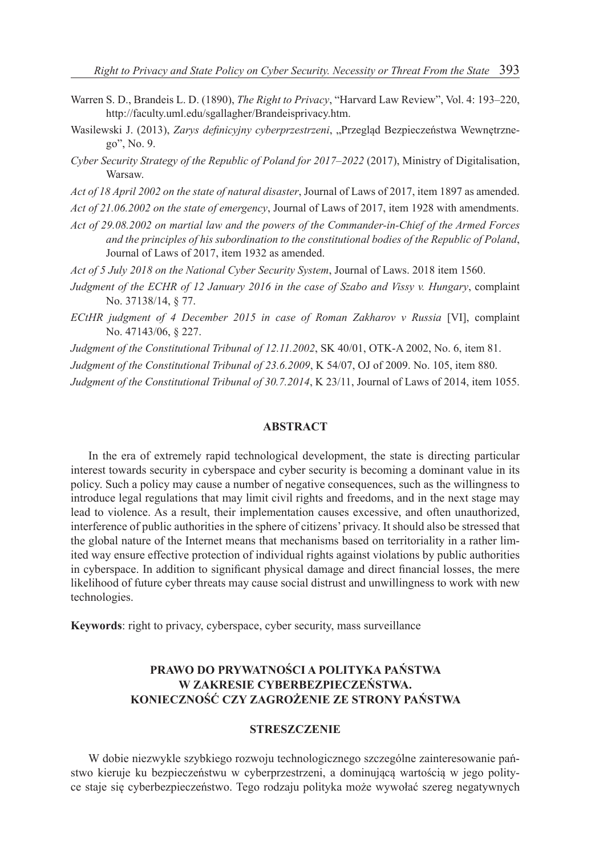- Warren S. D., Brandeis L. D. (1890), *The Right to Privacy*, "Harvard Law Review", Vol. 4: 193–220, http://faculty.uml.edu/sgallagher/Brandeisprivacy.htm.
- Wasilewski J. (2013), *Zarys definicyjny cyberprzestrzeni*, "Przegląd Bezpieczeństwa Wewnetrznego", No. 9.
- *Cyber Security Strategy of the Republic of Poland for 2017–2022* (2017), Ministry of Digitalisation, Warsaw.
- *Act of 18 April 2002 on the state of natural disaster*, Journal of Laws of 2017, item 1897 as amended.

*Act of 21.06.2002 on the state of emergency*, Journal of Laws of 2017, item 1928 with amendments.

- *Act of 29.08.2002 on martial law and the powers of the Commander-in-Chief of the Armed Forces and the principles of his subordination to the constitutional bodies of the Republic of Poland*, Journal of Laws of 2017, item 1932 as amended.
- *Act of 5 July 2018 on the National Cyber Security System*, Journal of Laws. 2018 item 1560.
- *Judgment of the ECHR of 12 January 2016 in the case of Szabo and Vissy v. Hungary*, complaint No. 37138/14, § 77.
- *ECtHR judgment of 4 December 2015 in case of Roman Zakharov v Russia* [VI], complaint No. 47143/06, § 227.
- *Judgment of the Constitutional Tribunal of 12.11.2002*, SK 40/01, OTK-A 2002, No. 6, item 81.
- *Judgment of the Constitutional Tribunal of 23.6.2009*, K 54/07, OJ of 2009. No. 105, item 880.

*Judgment of the Constitutional Tribunal of 30.7.2014*, K 23/11, Journal of Laws of 2014, item 1055.

#### **ABSTRACT**

In the era of extremely rapid technological development, the state is directing particular interest towards security in cyberspace and cyber security is becoming a dominant value in its policy. Such a policy may cause a number of negative consequences, such as the willingness to introduce legal regulations that may limit civil rights and freedoms, and in the next stage may lead to violence. As a result, their implementation causes excessive, and often unauthorized, interference of public authorities in the sphere of citizens' privacy. It should also be stressed that the global nature of the Internet means that mechanisms based on territoriality in a rather limited way ensure effective protection of individual rights against violations by public authorities in cyberspace. In addition to significant physical damage and direct financial losses, the mere likelihood of future cyber threats may cause social distrust and unwillingness to work with new technologies.

**Keywords**: right to privacy, cyberspace, cyber security, mass surveillance

## **PRAWO DO PRYWATNOŚCI A POLITYKA PAŃSTWA W ZAKRESIE CYBERBEZPIECZEŃSTWA. KONIECZNOŚĆ CZY ZAGROŻENIE ZE STRONY PAŃSTWA**

#### **STRESZCZENIE**

W dobie niezwykle szybkiego rozwoju technologicznego szczególne zainteresowanie państwo kieruje ku bezpieczeństwu w cyberprzestrzeni, a dominującą wartością w jego polityce staje się cyberbezpieczeństwo. Tego rodzaju polityka może wywołać szereg negatywnych